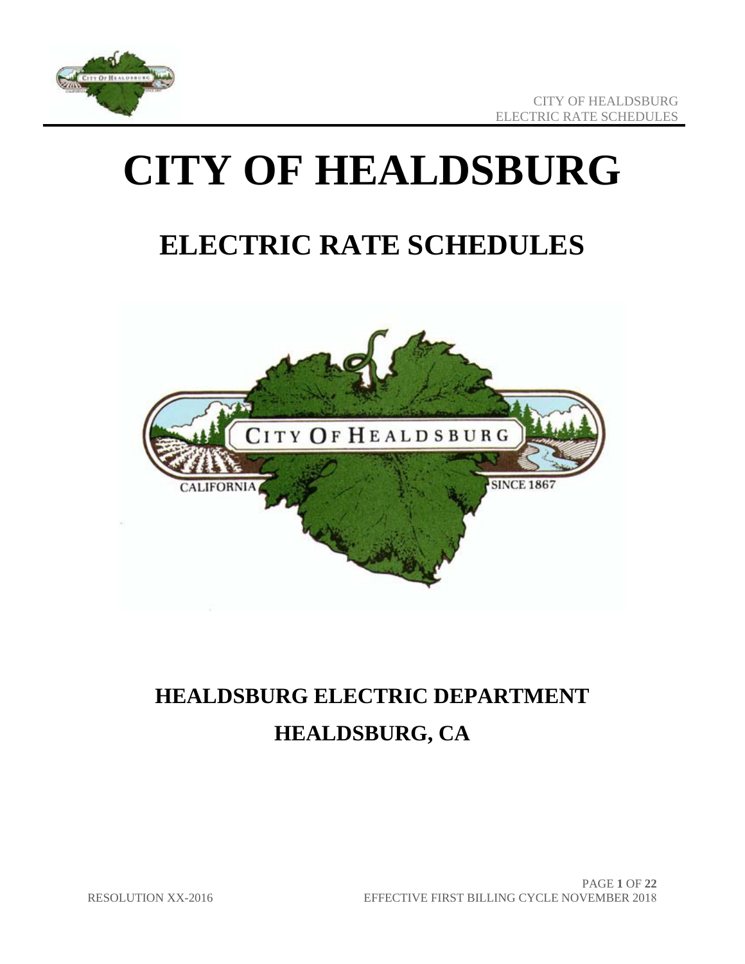

# **CITY OF HEALDSBURG**

# **ELECTRIC RATE SCHEDULES**



# **HEALDSBURG ELECTRIC DEPARTMENT HEALDSBURG, CA**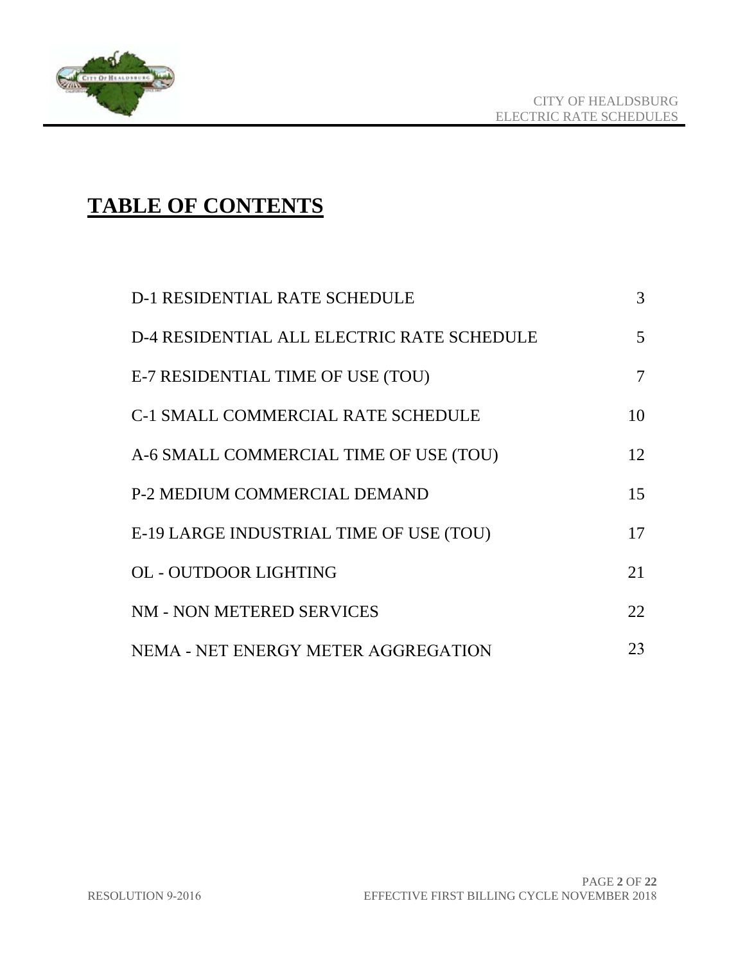

# **TABLE OF CONTENTS**

| <b>D-1 RESIDENTIAL RATE SCHEDULE</b>       | 3              |
|--------------------------------------------|----------------|
| D-4 RESIDENTIAL ALL ELECTRIC RATE SCHEDULE | $\mathfrak{S}$ |
| E-7 RESIDENTIAL TIME OF USE (TOU)          | 7              |
| <b>C-1 SMALL COMMERCIAL RATE SCHEDULE</b>  | 10             |
| A-6 SMALL COMMERCIAL TIME OF USE (TOU)     | 12             |
| P-2 MEDIUM COMMERCIAL DEMAND               | 15             |
| E-19 LARGE INDUSTRIAL TIME OF USE (TOU)    | 17             |
| <b>OL - OUTDOOR LIGHTING</b>               | 21             |
| NM - NON METERED SERVICES                  | 22.            |
| NEMA - NET ENERGY METER AGGREGATION        | 23             |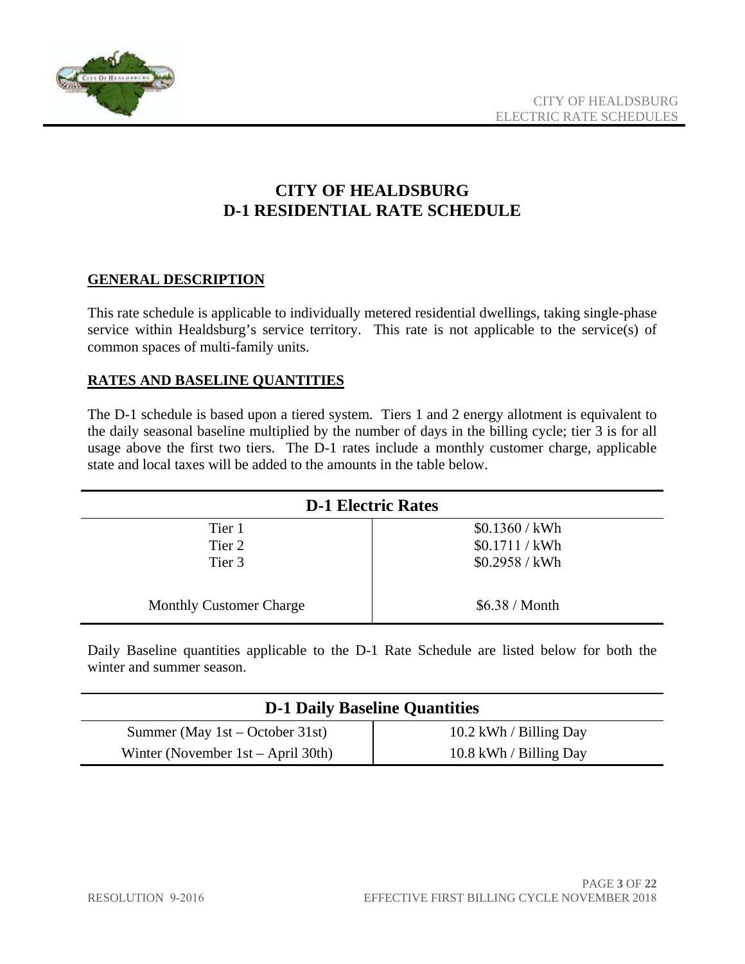

# **CITY OF HEALDSBURG D-1 RESIDENTIAL RATE SCHEDULE**

#### **GENERAL DESCRIPTION**

This rate schedule is applicable to individually metered residential dwellings, taking single-phase service within Healdsburg's service territory. This rate is not applicable to the service(s) of common spaces of multi-family units.

#### **RATES AND BASELINE QUANTITIES**

The D-1 schedule is based upon a tiered system. Tiers 1 and 2 energy allotment is equivalent to the daily seasonal baseline multiplied by the number of days in the billing cycle; tier 3 is for all usage above the first two tiers. The D-1 rates include a monthly customer charge, applicable state and local taxes will be added to the amounts in the table below.

| <b>D-1 Electric Rates</b>      |                       |
|--------------------------------|-----------------------|
| Tier 1                         | \$0.1360 / kWh        |
| Tier 2                         | \$0.1711 / kWh        |
| Tier 3                         | \$0.2958 / kWh        |
| <b>Monthly Customer Charge</b> | \$6.38 / <b>Month</b> |

Daily Baseline quantities applicable to the D-1 Rate Schedule are listed below for both the winter and summer season.

| <b>D-1 Daily Baseline Quantities</b>  |                        |
|---------------------------------------|------------------------|
| Summer (May $1st - October 31st$ )    | 10.2 kWh / Billing Day |
| Winter (November $1st - April 30th$ ) | 10.8 kWh / Billing Day |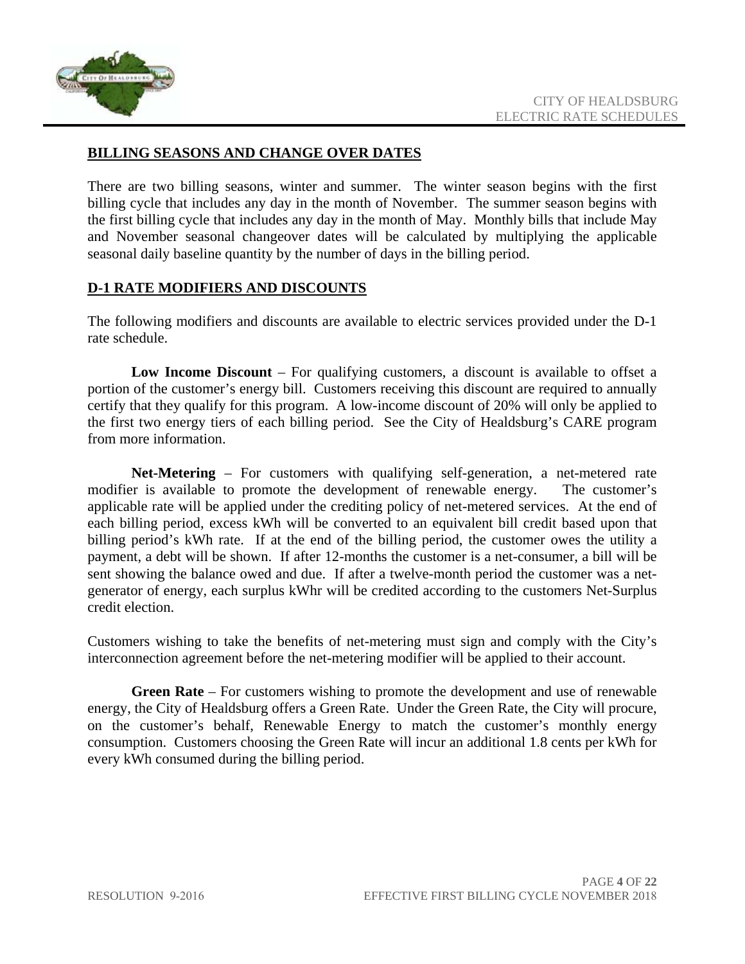

#### **BILLING SEASONS AND CHANGE OVER DATES**

There are two billing seasons, winter and summer. The winter season begins with the first billing cycle that includes any day in the month of November. The summer season begins with the first billing cycle that includes any day in the month of May. Monthly bills that include May and November seasonal changeover dates will be calculated by multiplying the applicable seasonal daily baseline quantity by the number of days in the billing period.

#### **D-1 RATE MODIFIERS AND DISCOUNTS**

The following modifiers and discounts are available to electric services provided under the D-1 rate schedule.

**Low Income Discount** – For qualifying customers, a discount is available to offset a portion of the customer's energy bill. Customers receiving this discount are required to annually certify that they qualify for this program. A low-income discount of 20% will only be applied to the first two energy tiers of each billing period. See the City of Healdsburg's CARE program from more information.

**Net-Metering** – For customers with qualifying self-generation, a net-metered rate modifier is available to promote the development of renewable energy. The customer's applicable rate will be applied under the crediting policy of net-metered services. At the end of each billing period, excess kWh will be converted to an equivalent bill credit based upon that billing period's kWh rate. If at the end of the billing period, the customer owes the utility a payment, a debt will be shown. If after 12-months the customer is a net-consumer, a bill will be sent showing the balance owed and due. If after a twelve-month period the customer was a netgenerator of energy, each surplus kWhr will be credited according to the customers Net-Surplus credit election.

Customers wishing to take the benefits of net-metering must sign and comply with the City's interconnection agreement before the net-metering modifier will be applied to their account.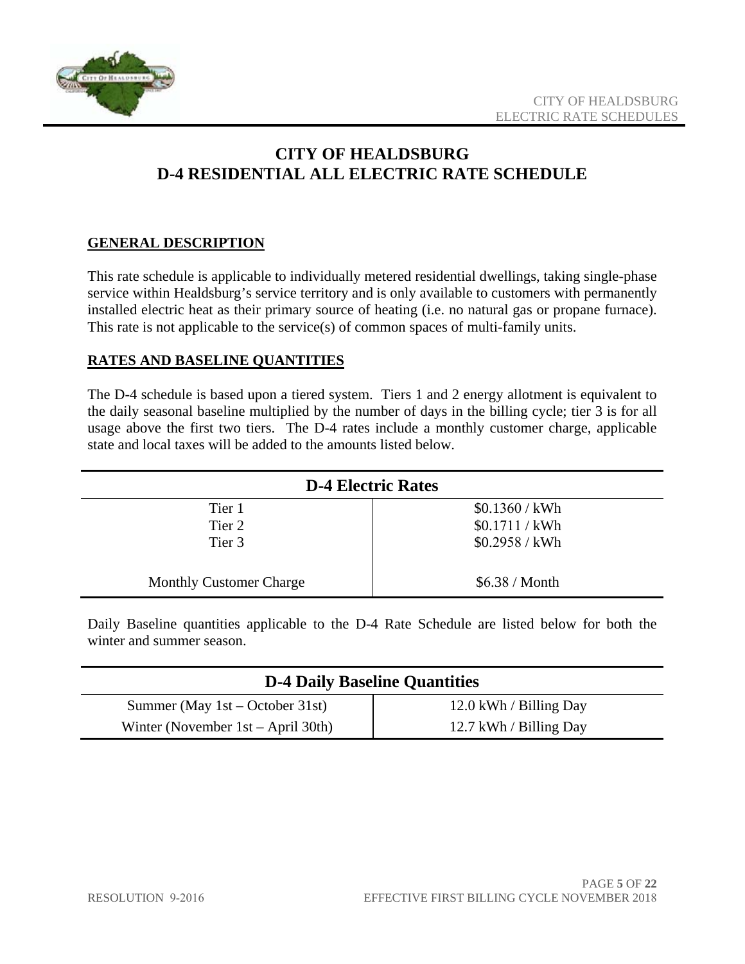

# **CITY OF HEALDSBURG D-4 RESIDENTIAL ALL ELECTRIC RATE SCHEDULE**

#### **GENERAL DESCRIPTION**

This rate schedule is applicable to individually metered residential dwellings, taking single-phase service within Healdsburg's service territory and is only available to customers with permanently installed electric heat as their primary source of heating (i.e. no natural gas or propane furnace). This rate is not applicable to the service(s) of common spaces of multi-family units.

#### **RATES AND BASELINE QUANTITIES**

The D-4 schedule is based upon a tiered system. Tiers 1 and 2 energy allotment is equivalent to the daily seasonal baseline multiplied by the number of days in the billing cycle; tier 3 is for all usage above the first two tiers. The D-4 rates include a monthly customer charge, applicable state and local taxes will be added to the amounts listed below.

| <b>D-4 Electric Rates</b>      |                       |
|--------------------------------|-----------------------|
| Tier 1                         | \$0.1360 / kWh        |
| Tier 2                         | \$0.1711 / kWh        |
| Tier 3                         | \$0.2958 / kWh        |
| <b>Monthly Customer Charge</b> | \$6.38 / <b>Month</b> |

Daily Baseline quantities applicable to the D-4 Rate Schedule are listed below for both the winter and summer season.

| <b>D-4 Daily Baseline Quantities</b>  |                        |
|---------------------------------------|------------------------|
| Summer (May $1st - October 31st$ )    | 12.0 kWh / Billing Day |
| Winter (November $1st - April 30th$ ) | 12.7 kWh / Billing Day |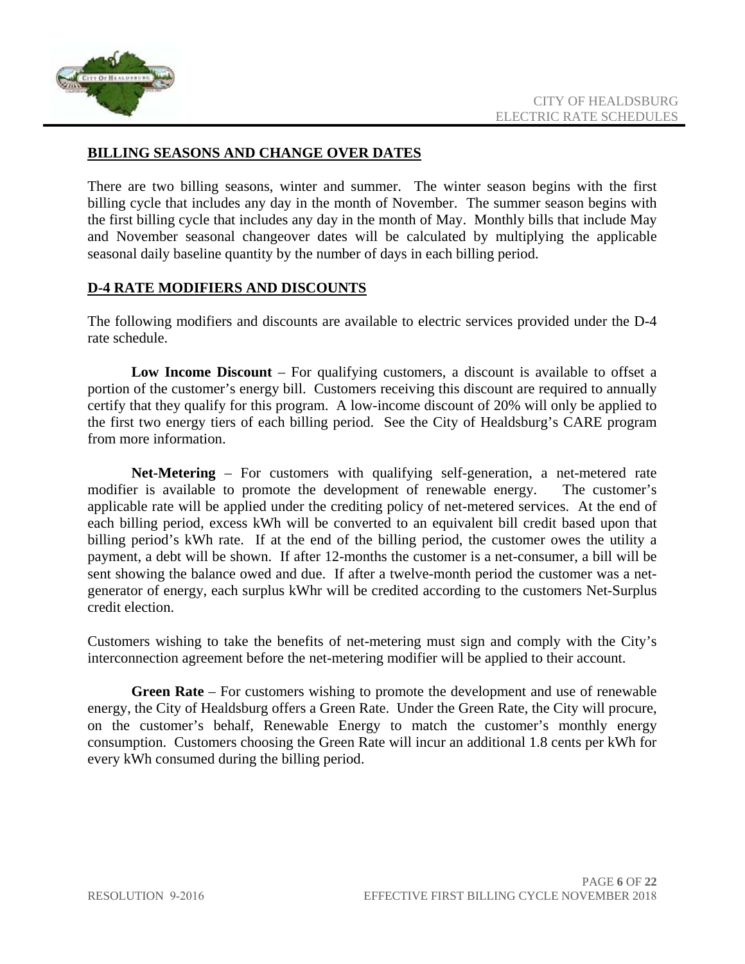

#### **BILLING SEASONS AND CHANGE OVER DATES**

There are two billing seasons, winter and summer. The winter season begins with the first billing cycle that includes any day in the month of November. The summer season begins with the first billing cycle that includes any day in the month of May. Monthly bills that include May and November seasonal changeover dates will be calculated by multiplying the applicable seasonal daily baseline quantity by the number of days in each billing period.

#### **D-4 RATE MODIFIERS AND DISCOUNTS**

The following modifiers and discounts are available to electric services provided under the D-4 rate schedule.

**Low Income Discount** – For qualifying customers, a discount is available to offset a portion of the customer's energy bill. Customers receiving this discount are required to annually certify that they qualify for this program. A low-income discount of 20% will only be applied to the first two energy tiers of each billing period. See the City of Healdsburg's CARE program from more information.

**Net-Metering** – For customers with qualifying self-generation, a net-metered rate modifier is available to promote the development of renewable energy. The customer's applicable rate will be applied under the crediting policy of net-metered services. At the end of each billing period, excess kWh will be converted to an equivalent bill credit based upon that billing period's kWh rate. If at the end of the billing period, the customer owes the utility a payment, a debt will be shown. If after 12-months the customer is a net-consumer, a bill will be sent showing the balance owed and due. If after a twelve-month period the customer was a netgenerator of energy, each surplus kWhr will be credited according to the customers Net-Surplus credit election.

Customers wishing to take the benefits of net-metering must sign and comply with the City's interconnection agreement before the net-metering modifier will be applied to their account.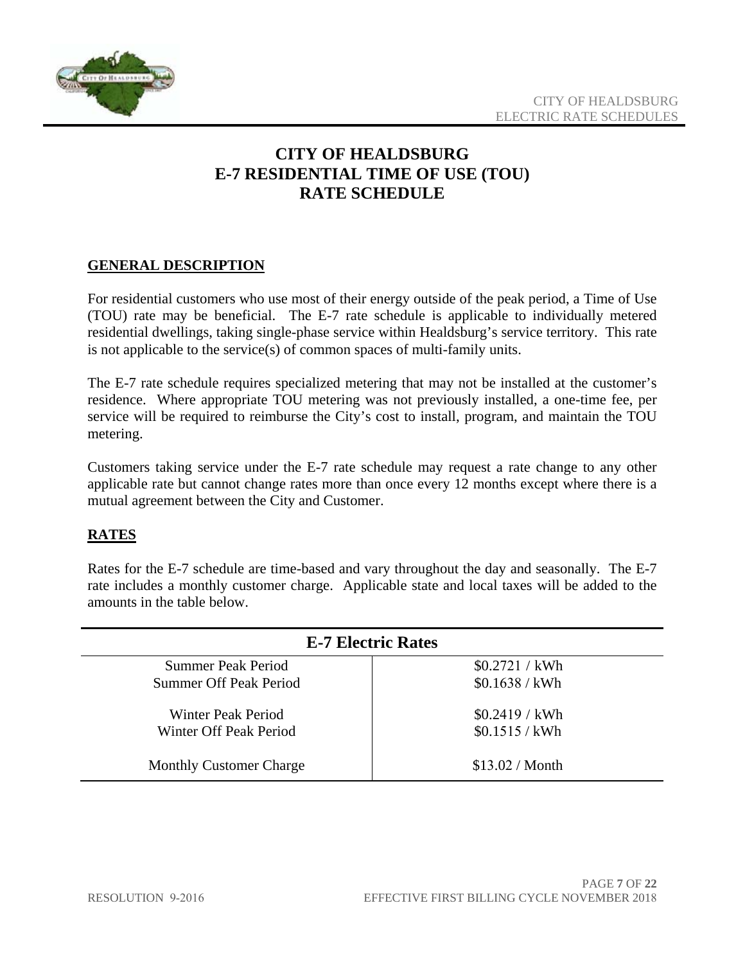

## **CITY OF HEALDSBURG E-7 RESIDENTIAL TIME OF USE (TOU) RATE SCHEDULE**

#### **GENERAL DESCRIPTION**

For residential customers who use most of their energy outside of the peak period, a Time of Use (TOU) rate may be beneficial. The E-7 rate schedule is applicable to individually metered residential dwellings, taking single-phase service within Healdsburg's service territory. This rate is not applicable to the service(s) of common spaces of multi-family units.

The E-7 rate schedule requires specialized metering that may not be installed at the customer's residence. Where appropriate TOU metering was not previously installed, a one-time fee, per service will be required to reimburse the City's cost to install, program, and maintain the TOU metering.

Customers taking service under the E-7 rate schedule may request a rate change to any other applicable rate but cannot change rates more than once every 12 months except where there is a mutual agreement between the City and Customer.

#### **RATES**

Rates for the E-7 schedule are time-based and vary throughout the day and seasonally. The E-7 rate includes a monthly customer charge. Applicable state and local taxes will be added to the amounts in the table below.

| <b>E-7 Electric Rates</b>      |                        |
|--------------------------------|------------------------|
| Summer Peak Period             | \$0.2721 / kWh         |
| Summer Off Peak Period         | \$0.1638 / kWh         |
| Winter Peak Period             | \$0.2419 / kWh         |
| Winter Off Peak Period         | \$0.1515 / kWh         |
| <b>Monthly Customer Charge</b> | \$13.02 / <b>Month</b> |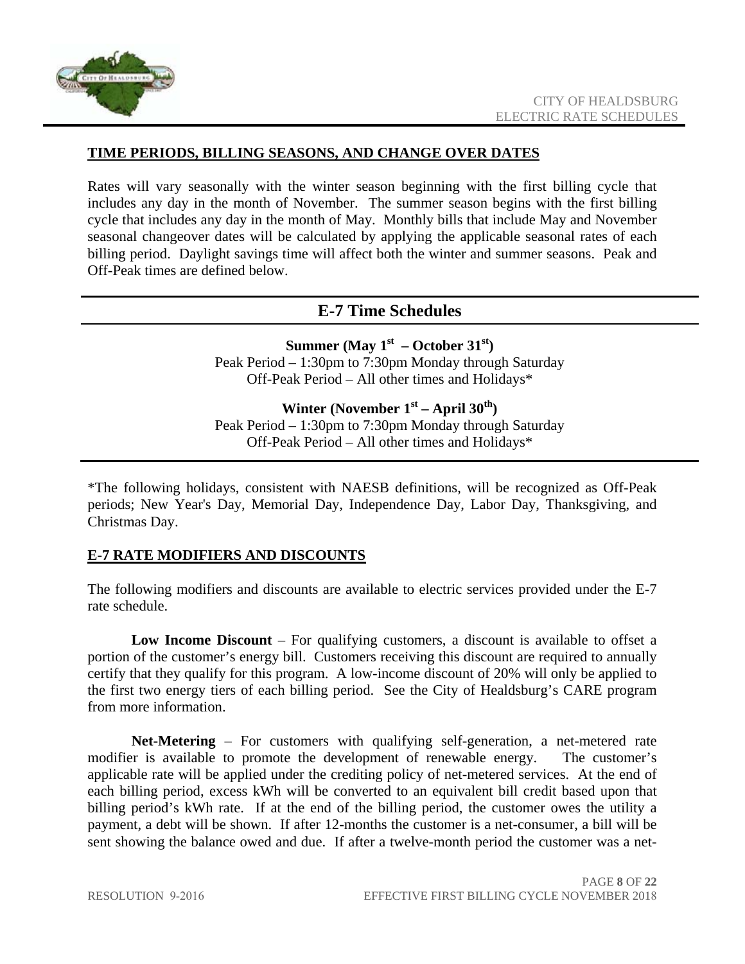

#### **TIME PERIODS, BILLING SEASONS, AND CHANGE OVER DATES**

Rates will vary seasonally with the winter season beginning with the first billing cycle that includes any day in the month of November. The summer season begins with the first billing cycle that includes any day in the month of May. Monthly bills that include May and November seasonal changeover dates will be calculated by applying the applicable seasonal rates of each billing period. Daylight savings time will affect both the winter and summer seasons. Peak and Off-Peak times are defined below.

#### **E-7 Time Schedules**

**Summer (May**  $1^{st}$  **– October 31st)** Peak Period – 1:30pm to 7:30pm Monday through Saturday Off-Peak Period – All other times and Holidays\*

Winter (November 1<sup>st</sup> – April 30<sup>th</sup>) Peak Period – 1:30pm to 7:30pm Monday through Saturday

Off-Peak Period – All other times and Holidays\*

\*The following holidays, consistent with NAESB definitions, will be recognized as Off-Peak periods; New Year's Day, Memorial Day, Independence Day, Labor Day, Thanksgiving, and Christmas Day.

#### **E-7 RATE MODIFIERS AND DISCOUNTS**

The following modifiers and discounts are available to electric services provided under the E-7 rate schedule.

**Low Income Discount** – For qualifying customers, a discount is available to offset a portion of the customer's energy bill. Customers receiving this discount are required to annually certify that they qualify for this program. A low-income discount of 20% will only be applied to the first two energy tiers of each billing period. See the City of Healdsburg's CARE program from more information.

**Net-Metering** – For customers with qualifying self-generation, a net-metered rate modifier is available to promote the development of renewable energy. The customer's applicable rate will be applied under the crediting policy of net-metered services. At the end of each billing period, excess kWh will be converted to an equivalent bill credit based upon that billing period's kWh rate. If at the end of the billing period, the customer owes the utility a payment, a debt will be shown. If after 12-months the customer is a net-consumer, a bill will be sent showing the balance owed and due. If after a twelve-month period the customer was a net-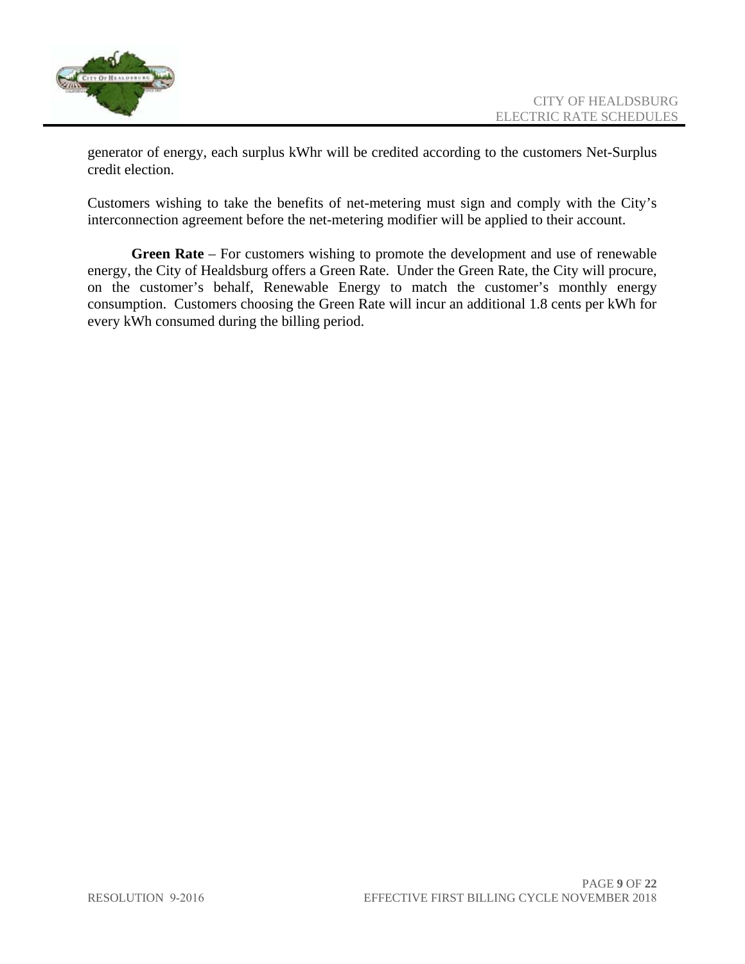

generator of energy, each surplus kWhr will be credited according to the customers Net-Surplus credit election.

Customers wishing to take the benefits of net-metering must sign and comply with the City's interconnection agreement before the net-metering modifier will be applied to their account.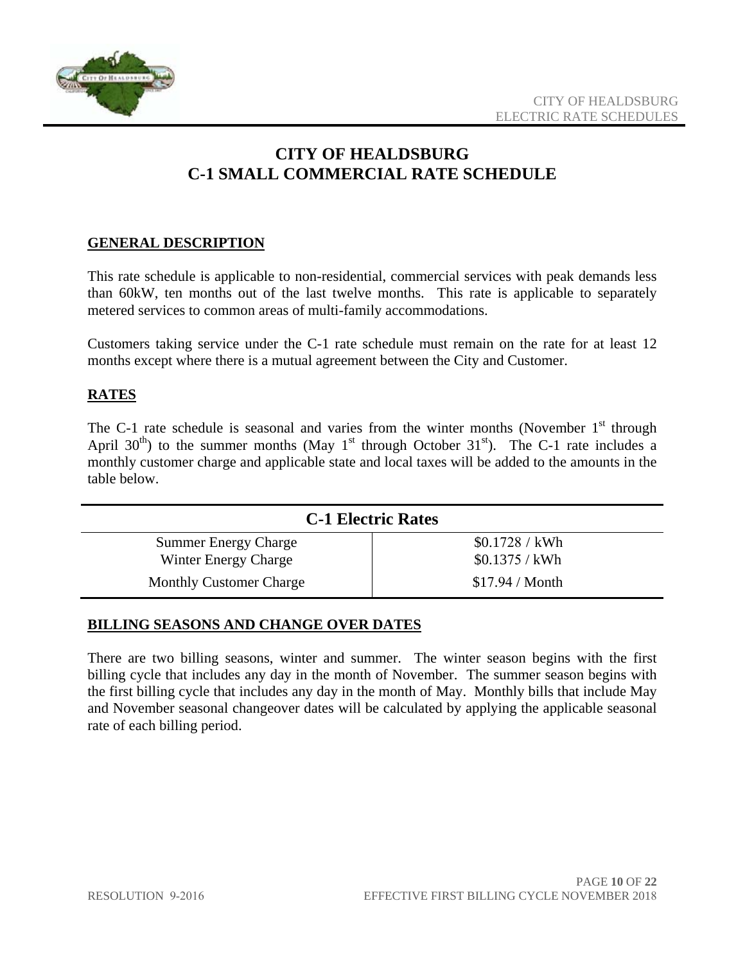

# **CITY OF HEALDSBURG C-1 SMALL COMMERCIAL RATE SCHEDULE**

#### **GENERAL DESCRIPTION**

This rate schedule is applicable to non-residential, commercial services with peak demands less than 60kW, ten months out of the last twelve months. This rate is applicable to separately metered services to common areas of multi-family accommodations.

Customers taking service under the C-1 rate schedule must remain on the rate for at least 12 months except where there is a mutual agreement between the City and Customer.

#### **RATES**

The C-1 rate schedule is seasonal and varies from the winter months (November  $1<sup>st</sup>$  through April 30<sup>th</sup>) to the summer months (May 1<sup>st</sup> through October 31<sup>st</sup>). The C-1 rate includes a monthly customer charge and applicable state and local taxes will be added to the amounts in the table below.

| <b>C-1 Electric Rates</b>      |                        |
|--------------------------------|------------------------|
| <b>Summer Energy Charge</b>    | \$0.1728 / kWh         |
| Winter Energy Charge           | $$0.1375 /$ kWh        |
| <b>Monthly Customer Charge</b> | \$17.94 / <b>Month</b> |

#### **BILLING SEASONS AND CHANGE OVER DATES**

There are two billing seasons, winter and summer. The winter season begins with the first billing cycle that includes any day in the month of November. The summer season begins with the first billing cycle that includes any day in the month of May. Monthly bills that include May and November seasonal changeover dates will be calculated by applying the applicable seasonal rate of each billing period.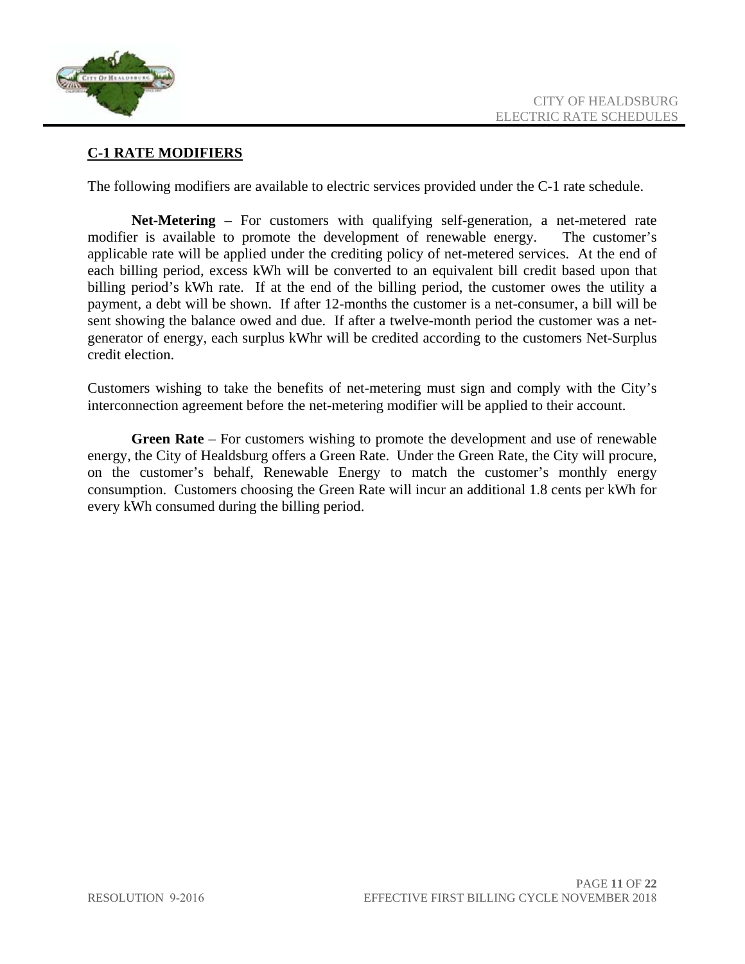

#### **C-1 RATE MODIFIERS**

The following modifiers are available to electric services provided under the C-1 rate schedule.

**Net-Metering** – For customers with qualifying self-generation, a net-metered rate modifier is available to promote the development of renewable energy. The customer's applicable rate will be applied under the crediting policy of net-metered services. At the end of each billing period, excess kWh will be converted to an equivalent bill credit based upon that billing period's kWh rate. If at the end of the billing period, the customer owes the utility a payment, a debt will be shown. If after 12-months the customer is a net-consumer, a bill will be sent showing the balance owed and due. If after a twelve-month period the customer was a netgenerator of energy, each surplus kWhr will be credited according to the customers Net-Surplus credit election.

Customers wishing to take the benefits of net-metering must sign and comply with the City's interconnection agreement before the net-metering modifier will be applied to their account.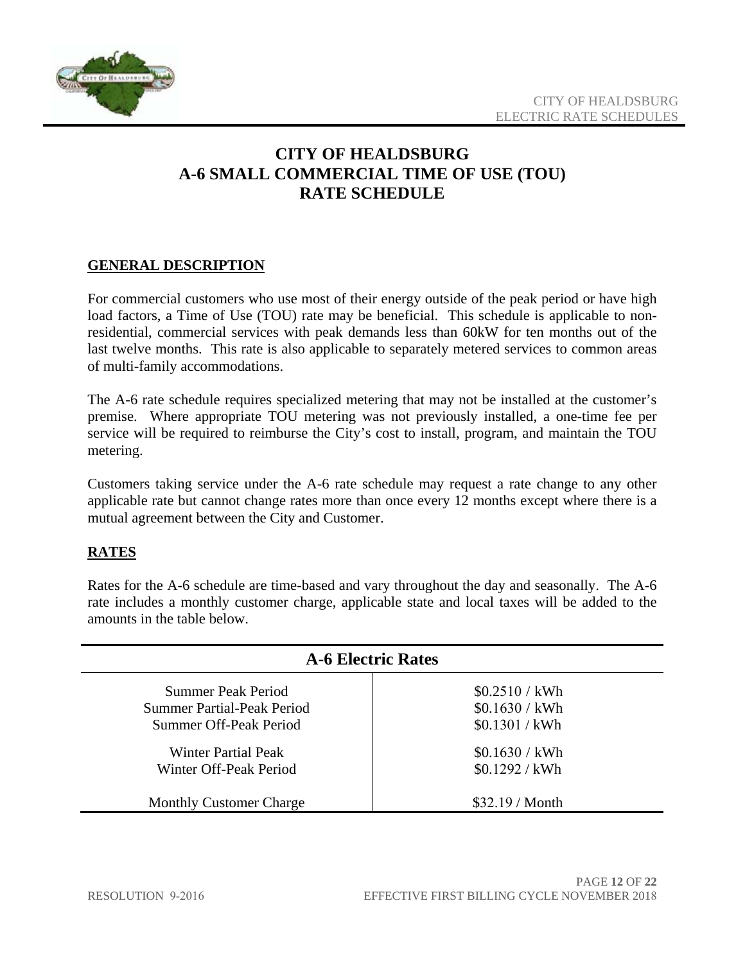

## **CITY OF HEALDSBURG A-6 SMALL COMMERCIAL TIME OF USE (TOU) RATE SCHEDULE**

#### **GENERAL DESCRIPTION**

For commercial customers who use most of their energy outside of the peak period or have high load factors, a Time of Use (TOU) rate may be beneficial. This schedule is applicable to nonresidential, commercial services with peak demands less than 60kW for ten months out of the last twelve months. This rate is also applicable to separately metered services to common areas of multi-family accommodations.

The A-6 rate schedule requires specialized metering that may not be installed at the customer's premise. Where appropriate TOU metering was not previously installed, a one-time fee per service will be required to reimburse the City's cost to install, program, and maintain the TOU metering.

Customers taking service under the A-6 rate schedule may request a rate change to any other applicable rate but cannot change rates more than once every 12 months except where there is a mutual agreement between the City and Customer.

#### **RATES**

Rates for the A-6 schedule are time-based and vary throughout the day and seasonally. The A-6 rate includes a monthly customer charge, applicable state and local taxes will be added to the amounts in the table below.

| <b>A-6 Electric Rates</b>      |                        |
|--------------------------------|------------------------|
| Summer Peak Period             | \$0.2510 / kWh         |
| Summer Partial-Peak Period     | \$0.1630 / kWh         |
| Summer Off-Peak Period         | \$0.1301 / kWh         |
| Winter Partial Peak            | \$0.1630 / kWh         |
| Winter Off-Peak Period         | \$0.1292 / kWh         |
| <b>Monthly Customer Charge</b> | \$32.19 / <b>Month</b> |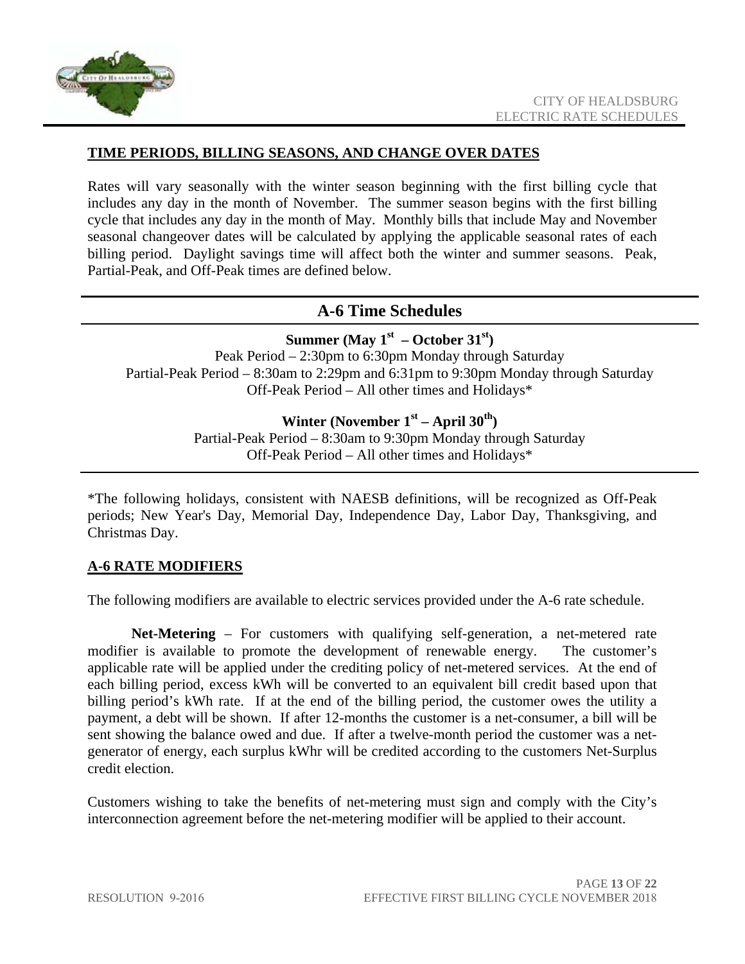

#### **TIME PERIODS, BILLING SEASONS, AND CHANGE OVER DATES**

Rates will vary seasonally with the winter season beginning with the first billing cycle that includes any day in the month of November. The summer season begins with the first billing cycle that includes any day in the month of May. Monthly bills that include May and November seasonal changeover dates will be calculated by applying the applicable seasonal rates of each billing period. Daylight savings time will affect both the winter and summer seasons. Peak, Partial-Peak, and Off-Peak times are defined below.

#### **A-6 Time Schedules**

#### **Summer (May**  $1^{st}$  **– October 31**<sup>st</sup>) Peak Period – 2:30pm to 6:30pm Monday through Saturday Partial-Peak Period – 8:30am to 2:29pm and 6:31pm to 9:30pm Monday through Saturday Off-Peak Period – All other times and Holidays\*

#### Winter (November 1<sup>st</sup> – April 30<sup>th</sup>)

Partial-Peak Period – 8:30am to 9:30pm Monday through Saturday Off-Peak Period – All other times and Holidays\*

\*The following holidays, consistent with NAESB definitions, will be recognized as Off-Peak periods; New Year's Day, Memorial Day, Independence Day, Labor Day, Thanksgiving, and Christmas Day.

#### **A-6 RATE MODIFIERS**

The following modifiers are available to electric services provided under the A-6 rate schedule.

**Net-Metering** – For customers with qualifying self-generation, a net-metered rate modifier is available to promote the development of renewable energy. The customer's applicable rate will be applied under the crediting policy of net-metered services. At the end of each billing period, excess kWh will be converted to an equivalent bill credit based upon that billing period's kWh rate. If at the end of the billing period, the customer owes the utility a payment, a debt will be shown. If after 12-months the customer is a net-consumer, a bill will be sent showing the balance owed and due. If after a twelve-month period the customer was a netgenerator of energy, each surplus kWhr will be credited according to the customers Net-Surplus credit election.

Customers wishing to take the benefits of net-metering must sign and comply with the City's interconnection agreement before the net-metering modifier will be applied to their account.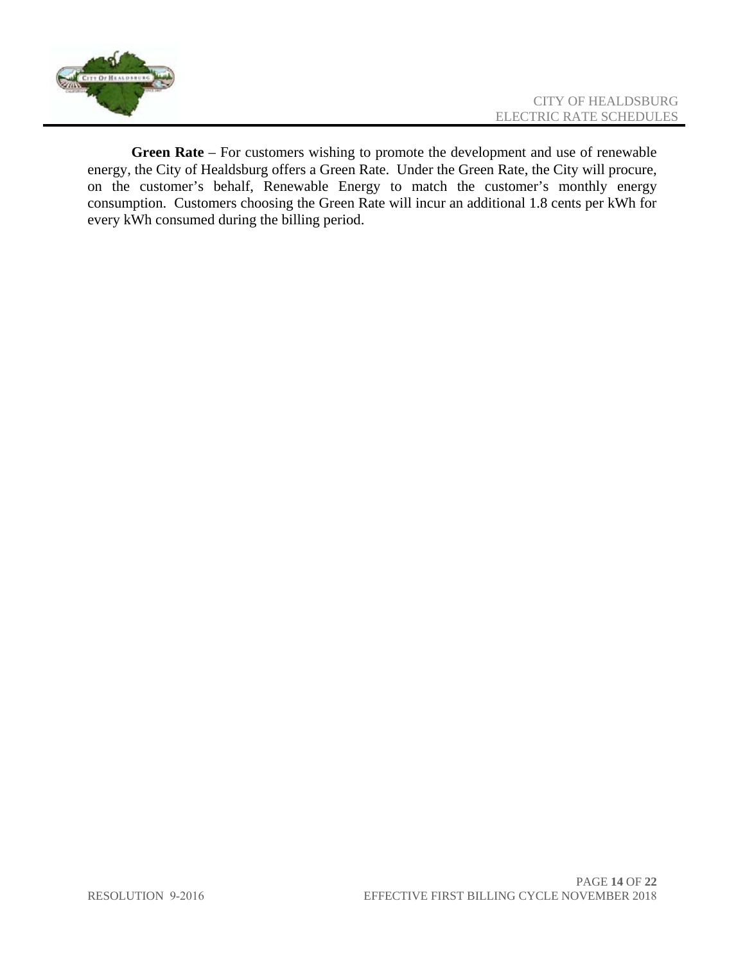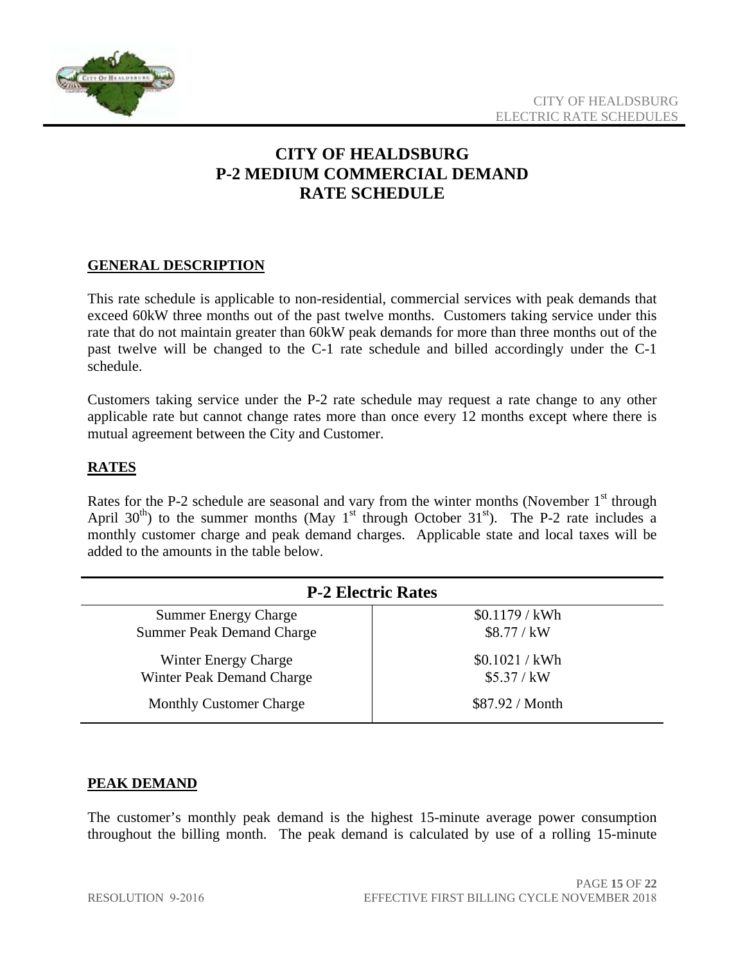

## **CITY OF HEALDSBURG P-2 MEDIUM COMMERCIAL DEMAND RATE SCHEDULE**

#### **GENERAL DESCRIPTION**

This rate schedule is applicable to non-residential, commercial services with peak demands that exceed 60kW three months out of the past twelve months. Customers taking service under this rate that do not maintain greater than 60kW peak demands for more than three months out of the past twelve will be changed to the C-1 rate schedule and billed accordingly under the C-1 schedule.

Customers taking service under the P-2 rate schedule may request a rate change to any other applicable rate but cannot change rates more than once every 12 months except where there is mutual agreement between the City and Customer.

#### **RATES**

Rates for the P-2 schedule are seasonal and vary from the winter months (November  $1<sup>st</sup>$  through April  $30<sup>th</sup>$ ) to the summer months (May 1<sup>st</sup> through October  $31<sup>st</sup>$ ). The P-2 rate includes a monthly customer charge and peak demand charges. Applicable state and local taxes will be added to the amounts in the table below.

| <b>P-2 Electric Rates</b>        |                 |
|----------------------------------|-----------------|
| <b>Summer Energy Charge</b>      | \$0.1179 / kWh  |
| <b>Summer Peak Demand Charge</b> | \$8.77 / kW     |
| Winter Energy Charge             | \$0.1021 / kWh  |
| Winter Peak Demand Charge        | \$5.37 / kW     |
| <b>Monthly Customer Charge</b>   | \$87.92 / Month |

#### **PEAK DEMAND**

The customer's monthly peak demand is the highest 15-minute average power consumption throughout the billing month. The peak demand is calculated by use of a rolling 15-minute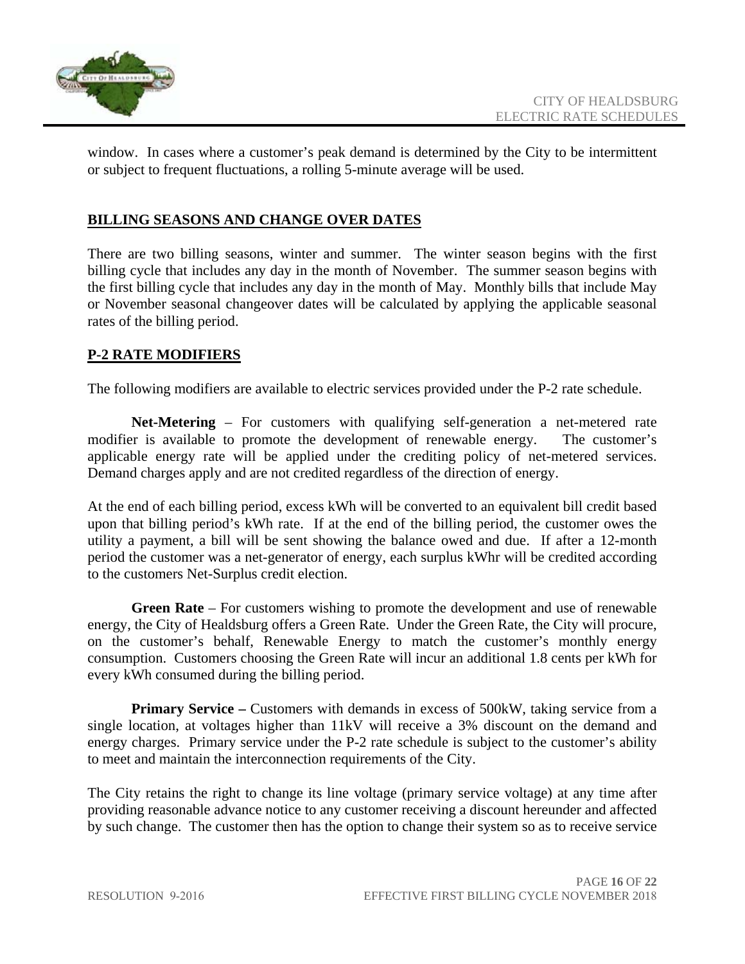

window. In cases where a customer's peak demand is determined by the City to be intermittent or subject to frequent fluctuations, a rolling 5-minute average will be used.

#### **BILLING SEASONS AND CHANGE OVER DATES**

There are two billing seasons, winter and summer. The winter season begins with the first billing cycle that includes any day in the month of November. The summer season begins with the first billing cycle that includes any day in the month of May. Monthly bills that include May or November seasonal changeover dates will be calculated by applying the applicable seasonal rates of the billing period.

#### **P-2 RATE MODIFIERS**

The following modifiers are available to electric services provided under the P-2 rate schedule.

**Net-Metering** – For customers with qualifying self-generation a net-metered rate modifier is available to promote the development of renewable energy. The customer's applicable energy rate will be applied under the crediting policy of net-metered services. Demand charges apply and are not credited regardless of the direction of energy.

At the end of each billing period, excess kWh will be converted to an equivalent bill credit based upon that billing period's kWh rate. If at the end of the billing period, the customer owes the utility a payment, a bill will be sent showing the balance owed and due. If after a 12-month period the customer was a net-generator of energy, each surplus kWhr will be credited according to the customers Net-Surplus credit election.

**Green Rate** – For customers wishing to promote the development and use of renewable energy, the City of Healdsburg offers a Green Rate. Under the Green Rate, the City will procure, on the customer's behalf, Renewable Energy to match the customer's monthly energy consumption. Customers choosing the Green Rate will incur an additional 1.8 cents per kWh for every kWh consumed during the billing period.

**Primary Service** – Customers with demands in excess of 500kW, taking service from a single location, at voltages higher than 11kV will receive a 3% discount on the demand and energy charges. Primary service under the P-2 rate schedule is subject to the customer's ability to meet and maintain the interconnection requirements of the City.

The City retains the right to change its line voltage (primary service voltage) at any time after providing reasonable advance notice to any customer receiving a discount hereunder and affected by such change. The customer then has the option to change their system so as to receive service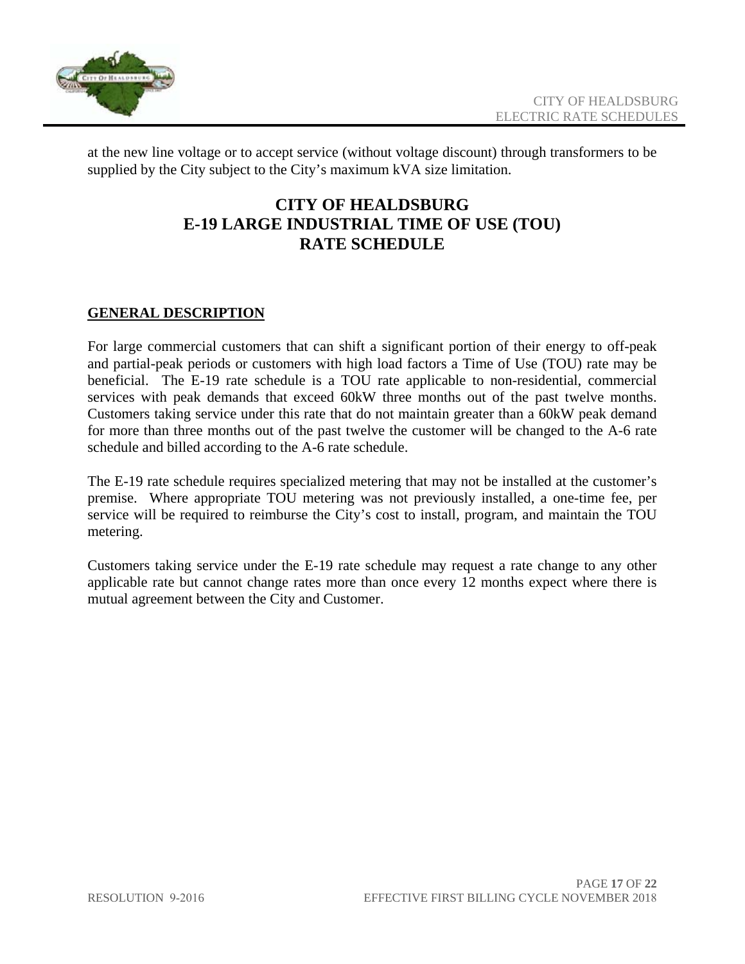

at the new line voltage or to accept service (without voltage discount) through transformers to be supplied by the City subject to the City's maximum kVA size limitation.

### **CITY OF HEALDSBURG E-19 LARGE INDUSTRIAL TIME OF USE (TOU) RATE SCHEDULE**

#### **GENERAL DESCRIPTION**

For large commercial customers that can shift a significant portion of their energy to off-peak and partial-peak periods or customers with high load factors a Time of Use (TOU) rate may be beneficial. The E-19 rate schedule is a TOU rate applicable to non-residential, commercial services with peak demands that exceed 60kW three months out of the past twelve months. Customers taking service under this rate that do not maintain greater than a 60kW peak demand for more than three months out of the past twelve the customer will be changed to the A-6 rate schedule and billed according to the A-6 rate schedule.

The E-19 rate schedule requires specialized metering that may not be installed at the customer's premise. Where appropriate TOU metering was not previously installed, a one-time fee, per service will be required to reimburse the City's cost to install, program, and maintain the TOU metering.

Customers taking service under the E-19 rate schedule may request a rate change to any other applicable rate but cannot change rates more than once every 12 months expect where there is mutual agreement between the City and Customer.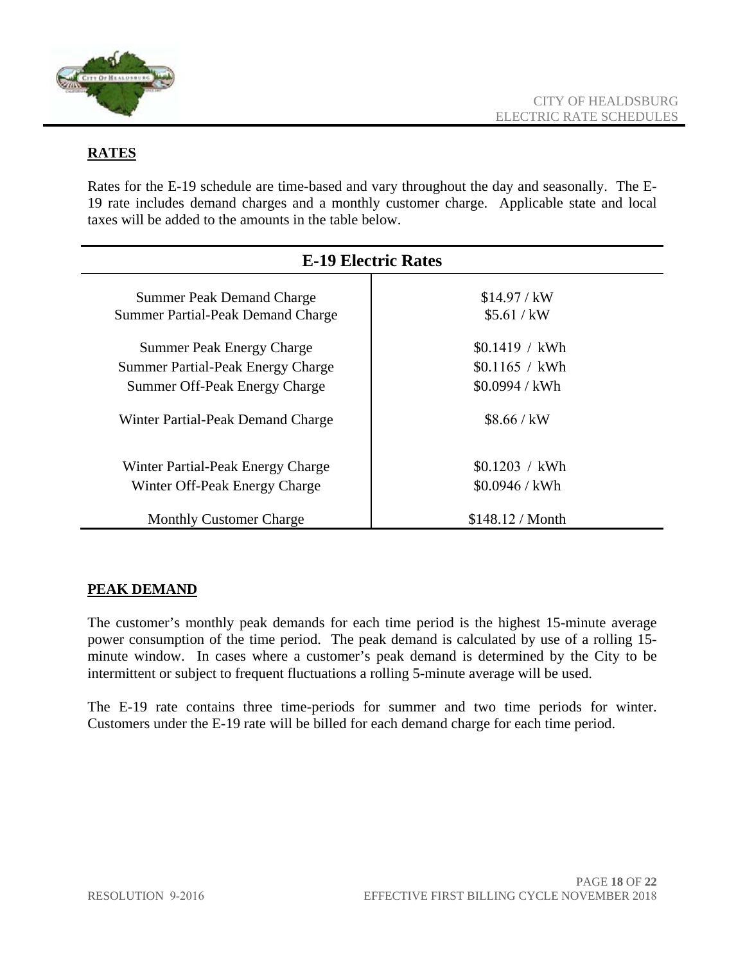

#### **RATES**

Rates for the E-19 schedule are time-based and vary throughout the day and seasonally. The E-19 rate includes demand charges and a monthly customer charge. Applicable state and local taxes will be added to the amounts in the table below.

| <b>E-19 Electric Rates</b>               |                  |
|------------------------------------------|------------------|
| <b>Summer Peak Demand Charge</b>         | \$14.97 / kW     |
| <b>Summer Partial-Peak Demand Charge</b> | \$5.61 / kW      |
| <b>Summer Peak Energy Charge</b>         | \$0.1419 / kWh   |
| <b>Summer Partial-Peak Energy Charge</b> | \$0.1165 / kWh   |
| Summer Off-Peak Energy Charge            | \$0.0994 / kWh   |
| Winter Partial-Peak Demand Charge        | \$8.66 / kW      |
| Winter Partial-Peak Energy Charge        | \$0.1203 / kWh   |
| Winter Off-Peak Energy Charge            | \$0.0946 / kWh   |
| <b>Monthly Customer Charge</b>           | \$148.12 / Month |

#### **PEAK DEMAND**

The customer's monthly peak demands for each time period is the highest 15-minute average power consumption of the time period. The peak demand is calculated by use of a rolling 15 minute window. In cases where a customer's peak demand is determined by the City to be intermittent or subject to frequent fluctuations a rolling 5-minute average will be used.

The E-19 rate contains three time-periods for summer and two time periods for winter. Customers under the E-19 rate will be billed for each demand charge for each time period.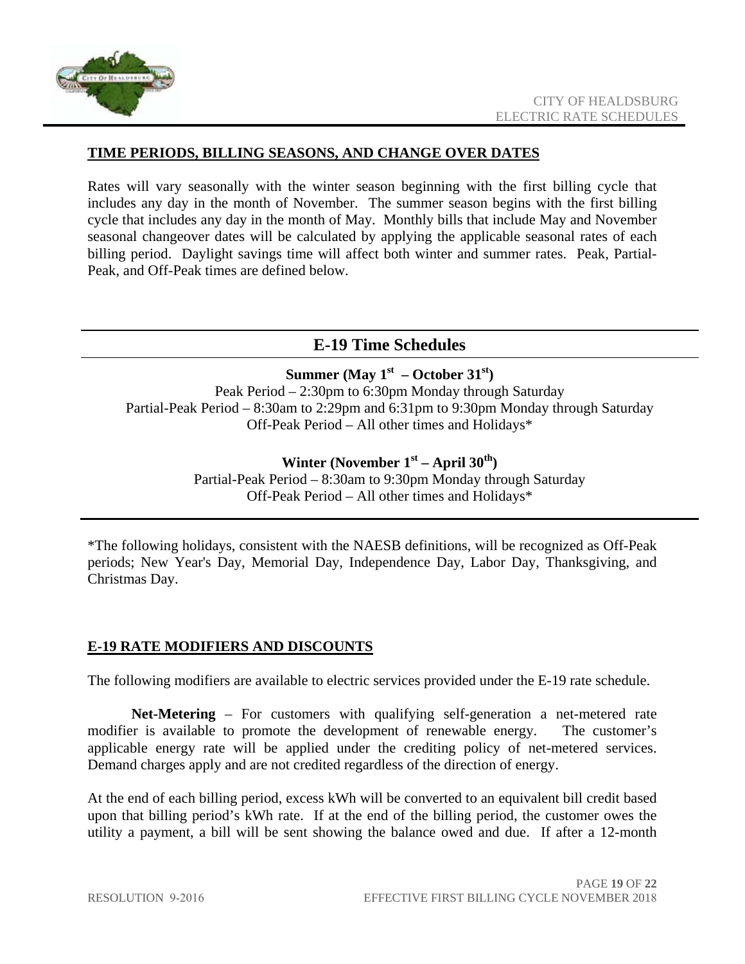

#### **TIME PERIODS, BILLING SEASONS, AND CHANGE OVER DATES**

Rates will vary seasonally with the winter season beginning with the first billing cycle that includes any day in the month of November. The summer season begins with the first billing cycle that includes any day in the month of May. Monthly bills that include May and November seasonal changeover dates will be calculated by applying the applicable seasonal rates of each billing period. Daylight savings time will affect both winter and summer rates. Peak, Partial-Peak, and Off-Peak times are defined below.

#### **E-19 Time Schedules**

#### **Summer (May**  $1^{st}$  **– October 31<sup>st</sup>)**

Peak Period – 2:30pm to 6:30pm Monday through Saturday Partial-Peak Period – 8:30am to 2:29pm and 6:31pm to 9:30pm Monday through Saturday Off-Peak Period – All other times and Holidays\*

Winter (November 1<sup>st</sup> – April 30<sup>th</sup>)

Partial-Peak Period – 8:30am to 9:30pm Monday through Saturday Off-Peak Period – All other times and Holidays\*

\*The following holidays, consistent with the NAESB definitions, will be recognized as Off-Peak periods; New Year's Day, Memorial Day, Independence Day, Labor Day, Thanksgiving, and Christmas Day.

#### **E-19 RATE MODIFIERS AND DISCOUNTS**

The following modifiers are available to electric services provided under the E-19 rate schedule.

**Net-Metering** – For customers with qualifying self-generation a net-metered rate modifier is available to promote the development of renewable energy. The customer's applicable energy rate will be applied under the crediting policy of net-metered services. Demand charges apply and are not credited regardless of the direction of energy.

At the end of each billing period, excess kWh will be converted to an equivalent bill credit based upon that billing period's kWh rate. If at the end of the billing period, the customer owes the utility a payment, a bill will be sent showing the balance owed and due. If after a 12-month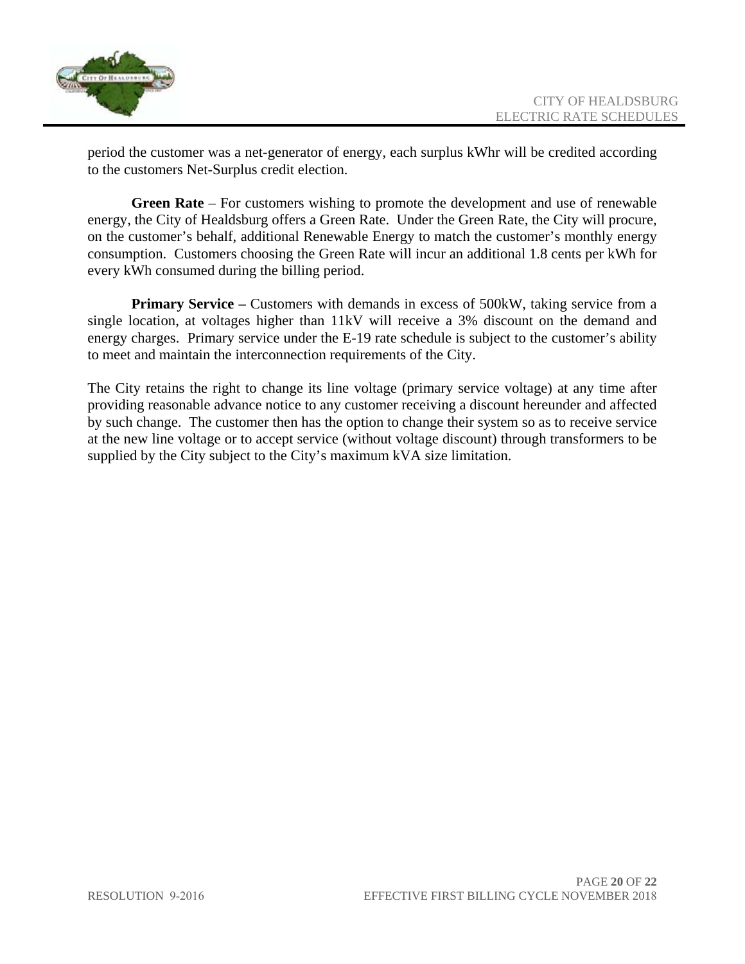

period the customer was a net-generator of energy, each surplus kWhr will be credited according to the customers Net-Surplus credit election.

**Green Rate** – For customers wishing to promote the development and use of renewable energy, the City of Healdsburg offers a Green Rate. Under the Green Rate, the City will procure, on the customer's behalf, additional Renewable Energy to match the customer's monthly energy consumption. Customers choosing the Green Rate will incur an additional 1.8 cents per kWh for every kWh consumed during the billing period.

**Primary Service** – Customers with demands in excess of 500kW, taking service from a single location, at voltages higher than 11kV will receive a 3% discount on the demand and energy charges. Primary service under the E-19 rate schedule is subject to the customer's ability to meet and maintain the interconnection requirements of the City.

The City retains the right to change its line voltage (primary service voltage) at any time after providing reasonable advance notice to any customer receiving a discount hereunder and affected by such change. The customer then has the option to change their system so as to receive service at the new line voltage or to accept service (without voltage discount) through transformers to be supplied by the City subject to the City's maximum kVA size limitation.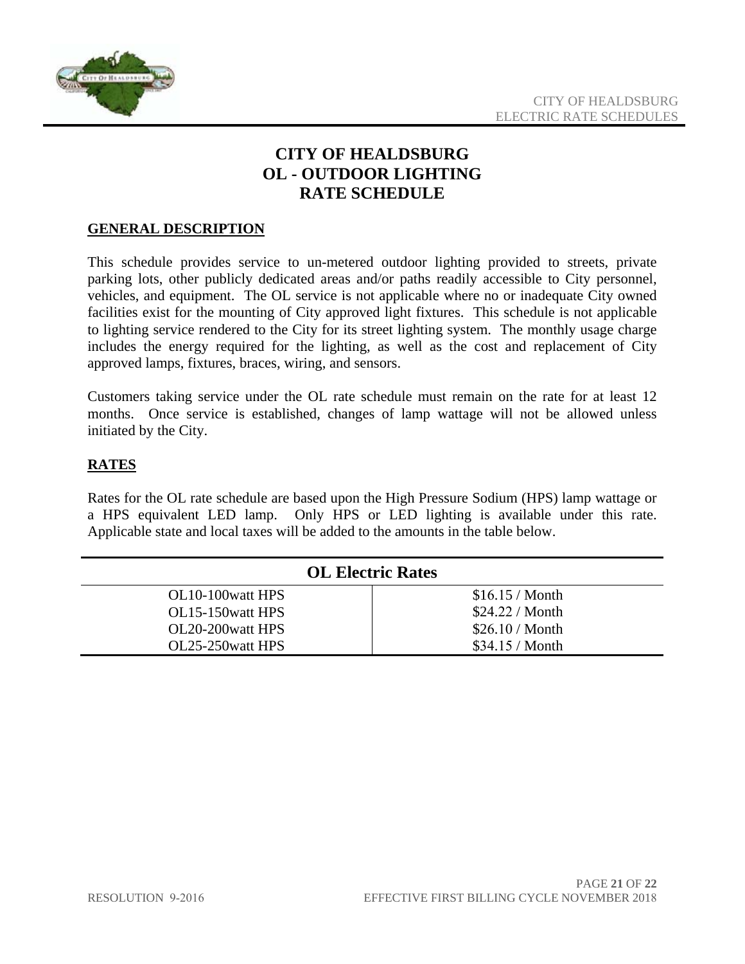

# **CITY OF HEALDSBURG OL - OUTDOOR LIGHTING RATE SCHEDULE**

#### **GENERAL DESCRIPTION**

This schedule provides service to un-metered outdoor lighting provided to streets, private parking lots, other publicly dedicated areas and/or paths readily accessible to City personnel, vehicles, and equipment. The OL service is not applicable where no or inadequate City owned facilities exist for the mounting of City approved light fixtures. This schedule is not applicable to lighting service rendered to the City for its street lighting system. The monthly usage charge includes the energy required for the lighting, as well as the cost and replacement of City approved lamps, fixtures, braces, wiring, and sensors.

Customers taking service under the OL rate schedule must remain on the rate for at least 12 months. Once service is established, changes of lamp wattage will not be allowed unless initiated by the City.

#### **RATES**

Rates for the OL rate schedule are based upon the High Pressure Sodium (HPS) lamp wattage or a HPS equivalent LED lamp. Only HPS or LED lighting is available under this rate. Applicable state and local taxes will be added to the amounts in the table below.

| <b>OL Electric Rates</b> |                        |
|--------------------------|------------------------|
| OL10-100 watt HPS        | \$16.15/Month          |
| OL15-150 watt HPS        | \$24.22 / <b>Month</b> |
| OL20-200 watt HPS        | $$26.10/M$ onth        |
| OL25-250 watt HPS        | \$34.15/Month          |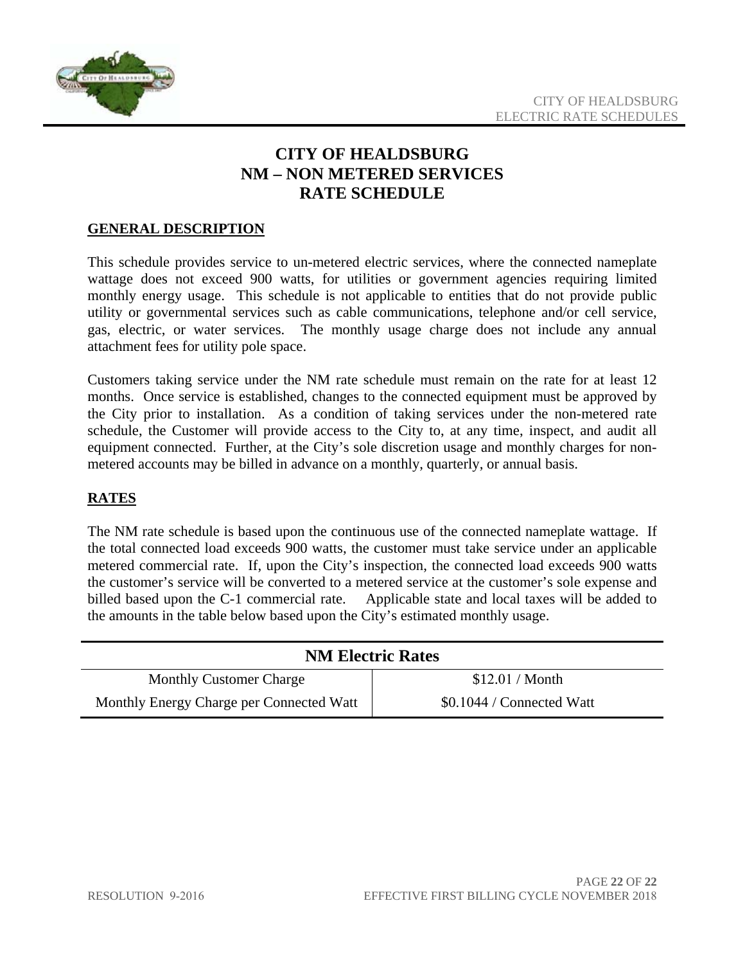

# **CITY OF HEALDSBURG NM – NON METERED SERVICES RATE SCHEDULE**

#### **GENERAL DESCRIPTION**

This schedule provides service to un-metered electric services, where the connected nameplate wattage does not exceed 900 watts, for utilities or government agencies requiring limited monthly energy usage. This schedule is not applicable to entities that do not provide public utility or governmental services such as cable communications, telephone and/or cell service, gas, electric, or water services. The monthly usage charge does not include any annual attachment fees for utility pole space.

Customers taking service under the NM rate schedule must remain on the rate for at least 12 months. Once service is established, changes to the connected equipment must be approved by the City prior to installation. As a condition of taking services under the non-metered rate schedule, the Customer will provide access to the City to, at any time, inspect, and audit all equipment connected. Further, at the City's sole discretion usage and monthly charges for nonmetered accounts may be billed in advance on a monthly, quarterly, or annual basis.

#### **RATES**

The NM rate schedule is based upon the continuous use of the connected nameplate wattage. If the total connected load exceeds 900 watts, the customer must take service under an applicable metered commercial rate. If, upon the City's inspection, the connected load exceeds 900 watts the customer's service will be converted to a metered service at the customer's sole expense and billed based upon the C-1 commercial rate. Applicable state and local taxes will be added to the amounts in the table below based upon the City's estimated monthly usage.

| <b>NM Electric Rates</b>                 |                           |
|------------------------------------------|---------------------------|
| <b>Monthly Customer Charge</b>           | \$12.01 / <b>Month</b>    |
| Monthly Energy Charge per Connected Watt | \$0.1044 / Connected Watt |